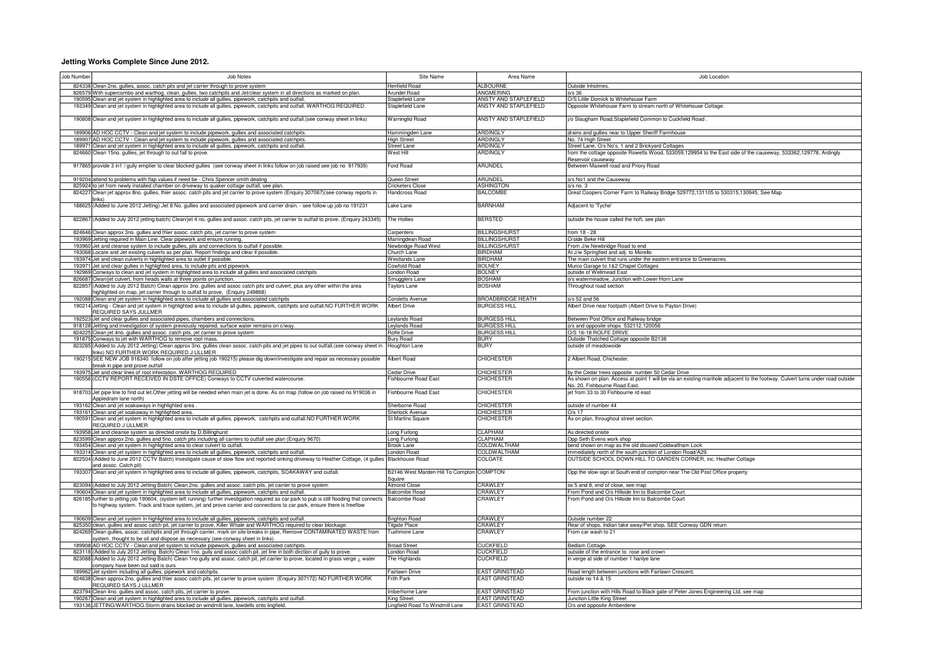## **Jetting Works Complete Since June 2012.**

| Job Number | Job Notes                                                                                                                                                                                                                                                                             | Site Name                                 | Area Name                                      | Job Location                                                                                                                                                  |
|------------|---------------------------------------------------------------------------------------------------------------------------------------------------------------------------------------------------------------------------------------------------------------------------------------|-------------------------------------------|------------------------------------------------|---------------------------------------------------------------------------------------------------------------------------------------------------------------|
|            | 824338 Clean 2no. gullies, assoc. catch pits and jet carrier through to prove system                                                                                                                                                                                                  | Henfield Road                             | <b>ALBOURNE</b>                                | Outside Inholmes.                                                                                                                                             |
|            | 826579 With supercombo and warthog, clean, gullies, two catchpits and Jet/clear system in all directions as marked on plan.                                                                                                                                                           | Arundel Road                              | <b>ANGMERING</b>                               | n/s.36                                                                                                                                                        |
|            | 190595 Clean and jet system in highlighted area to include all gullies, pipework, catchpits and outfal<br>193349 Clean and jet system in highlighted area to include all gullies, pipework, catchpits and outfall. WARTHOG REQUIRED.                                                  | Staplefield Lane<br>Staplefield Lane      | ANSTY AND STAPLEFIELD<br>ANSTY AND STAPLEFIELD | D/S Little Domick to Whitehouse Farm<br>Opposite Whitehouse Farm to stream north of Whitehouse Cottage.                                                       |
|            |                                                                                                                                                                                                                                                                                       |                                           |                                                |                                                                                                                                                               |
|            | 190808 Clean and jet system in highlighted area to include all gullies, pipework, catchpits and outfall. (see conway sheet in links)                                                                                                                                                  | <b>Warninglid Road</b>                    | ANSTY AND STAPLEFIELD                          | /o Slaugham Road, Staplefield Common to Cuckfield Road                                                                                                        |
|            | 189906 AD HOC CCTV - Clean and jet system to include pipework, gullies and associated catchpits.                                                                                                                                                                                      | Hammingden Lane                           | <b>ARDINGLY</b>                                | drains and gullies near to Upper Sheriff Farmhouse                                                                                                            |
|            | 189907 AD HOC CCTV - Clean and jet system to include pipework, gullies and associated catchpits<br>189971 Clean and jet system in highlighted area to include all gullies, pipework, catchpits and outfall.                                                                           | <b>High Street</b><br><b>Street Lane</b>  | <b>ARDINGLY</b><br>ARDINGLY                    | No. 74 High Street<br>Street Lane, O/s No's. 1 and 2 Brickyard Cottages                                                                                       |
| 824660     | Clean 15no. gullies, jet through to out fall to prove.                                                                                                                                                                                                                                | Nest Hill                                 | <b>ARDINGLY</b>                                | from the cottage opposite Rowetts Wood, 533059,129954 to the East side of the causeway, 533362,129778, Ardingly                                               |
|            |                                                                                                                                                                                                                                                                                       |                                           |                                                | Reservoir causeway                                                                                                                                            |
|            | 917865 provide 3 in1 / gully emptier to clear blocked gullies (see conway sheet in links follow on job raised see job no 917939)                                                                                                                                                      | Ford Road                                 | ARUNDEL                                        | Between Maxwell road and Priory Road                                                                                                                          |
|            | 919204 attend to problems with flap values if need be - Chris Spencer smith dealing                                                                                                                                                                                                   | Queen Street<br><b>Cricketers Close</b>   | <b>ARUNDE</b><br><b>ASHINGTON</b>              | o/s No1 and the Causeway                                                                                                                                      |
| 824227     | 825924 to jet from newly installed chamber on driveway to quaker cottage outfall, see plan.<br>Clean jet approx 8no. gullies, thier assoc. catch pits and jet carrier to prove system (Enquiry 307067)(see conway reports in                                                          | Handcross Road                            | <b>BALCOMBE</b>                                | n/s no. 3<br>Great Coopers Corner Farm to Railway Bridge 529772,131105 to 530315,130945, See Map                                                              |
|            |                                                                                                                                                                                                                                                                                       |                                           |                                                |                                                                                                                                                               |
|            | 188625 (Added to June 2012 Jetting) Jet 8 No. gullies and associated pipework and carrier drain. - see follow up job no 191231                                                                                                                                                        | ake Lane                                  | <b>BARNHAM</b>                                 | Adjacent to 'Tyche'                                                                                                                                           |
|            | 822867 (Added to July 2012 jetting batch) Clean/jet 4 no. gullies and assoc. catch pits, jet carrier to outfall to prove. (Enquiry 243345)                                                                                                                                            | The Hollies                               | <b>BERSTED</b>                                 | outside the house called the hoft, see plan                                                                                                                   |
|            | 824646 Clean approx 3no. gullies and thier assoc. catch pits, jet carrier to prove system                                                                                                                                                                                             | Carnenters                                | <b>BILLINGSHURST</b>                           | from 18 - 28                                                                                                                                                  |
|            | Jetting required in Main Line. Clear pipework and ensure running.                                                                                                                                                                                                                     | Marringdean Road                          | <b>BILLINGSHURST</b>                           | O/side Beke Hil                                                                                                                                               |
|            | 193960 Jet and cleanse system to include gullies, pits and connections to outfall if possible<br>193068 Locate and Jet existing culverts as per plan. Report findings and clear if possible                                                                                           | Newbridge Road West<br>Church Lane        | <b>BILLINGSHURST</b><br><b>BIRDHAM</b>         | From J/w Newbridge Road to end<br>At J/w Springfied and adj. to Morello                                                                                       |
|            | 193974 Jet and clean culverts in highlighted area to outlet if possible                                                                                                                                                                                                               | <b>Westlands Lane</b>                     | <b>BIRDHAM</b>                                 | The main culvert that runs under the eastern entrance to Greenacres                                                                                           |
|            | 193971 Jet and clear gullies in highlighted area, to include pits and pipework                                                                                                                                                                                                        | Cowfold Road                              | <b>BOLNEY</b>                                  | Murco Garage to 1&2 Chapel Cottages                                                                                                                           |
| 192969     | Conways to clean and jet system in highlighted area to include all gullies and associated catchpits                                                                                                                                                                                   | ondon Road                                | <b>BOLNEY</b>                                  | outside of Wellmead East                                                                                                                                      |
|            | 826687 Clean/jet culvert, from heads walls at three points on junction.                                                                                                                                                                                                               | Smugglers Lane                            | <b>BOSHAM</b>                                  | o/s watermeadow, Junction with Lower Horn Lane                                                                                                                |
| 822857     | (Added to July 2012 Batch) Clean approx 3no. gullies and assoc catch pits and culvert, plus any other within the area                                                                                                                                                                 | Taylors Lane                              | <b>BOSHAM</b>                                  | Throughout road section                                                                                                                                       |
|            | ighlighted on map, jet carrier through to outfall to prove, (Enquiry 249868)                                                                                                                                                                                                          |                                           |                                                |                                                                                                                                                               |
|            | 192088 Clean and jet system in highlighted area to include all gullies and associated catchpits                                                                                                                                                                                       | <b>Corsletts Avenue</b>                   | <b>BROADBRIDGE HEATH</b>                       | o/s 52 and 56                                                                                                                                                 |
|            | 190214 Jetting - Clean and jet system in highlighted area to include all gullies, pipework, catchpits and outfall.NO FURTHER WORK                                                                                                                                                     | <b>Albert Drive</b>                       | <b>BURGESS HILL</b>                            | Albert Drive near footpath (Albert Drive to Payton Drive)                                                                                                     |
|            | REQUIRED SAYS JULLMER                                                                                                                                                                                                                                                                 | eylands Road                              | <b>BURGESS HILL</b>                            |                                                                                                                                                               |
|            | 192523 Jet and clear gullies and associated pipes, chambers and connections.<br>918128 Jetting and investigation of system previously repaired, surface water remains on c/way.                                                                                                       | eylands Road                              | <b>BURGESS HILL</b>                            | Between Post Office and Railway bridge<br>S and opposite shops 532112,120056                                                                                  |
| 824225     | Clean jet 4no. gullies and assoc. catch pits, jet carrier to prove system                                                                                                                                                                                                             | Rolfe Drive                               | <b>BURGESS HILL</b>                            | O/S 16-18 ROLFE DRIVE                                                                                                                                         |
|            | 191875 Conways to jet with WARTHOG to remove root mass.                                                                                                                                                                                                                               | <b>Bury Road</b>                          | <b>BURY</b>                                    | Outside Thatched Cottage opposite B2138                                                                                                                       |
|            | 823285 (Added to July 2012 Jetting) Clean approx 3no. gullies clean assoc. catch pits and jet pipes to out outfall. (see conway sheet in<br>links) NO FURTHER WORK REQUIRED J ULLMER                                                                                                  | Houghton Lane                             | <b>BURY</b>                                    | outside of meadowside                                                                                                                                         |
|            | 190215 SEE NEW JOB 918340 follow on job after jetting job 190215) please dig down/investigate and repair as necessary possible<br>break in pipe and prove outfall                                                                                                                     | Albert Road                               | <b>CHICHESTER</b>                              | 2 Albert Road, Chichester.                                                                                                                                    |
|            | 193975 Jet and clear lines of root infestation. WARTHOG REQUIRED                                                                                                                                                                                                                      | Cedar Drive                               | <b>CHICHESTER</b>                              | by the Cedar trees opposite number 50 Cedar Drive                                                                                                             |
|            | 190556 (CCTV REPORT RECEIVED IN DSTE OFFICE) Conways to CCTV culverted watercourse.                                                                                                                                                                                                   | ishbourne Road East                       | CHICHESTER                                     | As shown on plan. Access at point 1 will be via an existing manhole adjacent to the footway. Culvert turns under road outside<br>No. 20, Fishbourne Road East |
|            | 918703 Jet pipe line to find out let.Other jetting will be needed when main jet is done. As on map (follow on job raised no 919036 in<br>Appledram lane north)                                                                                                                        | Fishbourne Road East                      | <b>CHICHESTER</b>                              | jet from 33 to 30 Fishbourne rd east                                                                                                                          |
|            | 193162 Clean and jet soakaways in highlighted area.<br>193161 Clean and jet soakaway in highlighted area.                                                                                                                                                                             | Sherborne Road<br>Sherlock Avenue         | <b>CHICHESTER</b><br><b>CHICHESTER</b>         | outside of number 44<br>$O/s$ 17                                                                                                                              |
|            | 190591 Clean and jet system in highlighted area to include all gullies, pipework, catchpits and outfall.NO FURTHER WORK                                                                                                                                                               | <b>St Martins Square</b>                  | CHICHESTER                                     | As on plan, throughout street section.                                                                                                                        |
|            | <b>REQUIRED JULLMER</b>                                                                                                                                                                                                                                                               |                                           | <b>CLAPHAM</b>                                 | As directed onsite                                                                                                                                            |
|            | 193958 Jet and cleanse system as directed onsite by D. Billinghurst<br>823599 Clean approx 2no. gullies and 5no. catch pits including all carriers to outfall see plan (Enquiry 9670)                                                                                                 | Long Furlong<br>Long Furlong              | <b>CLAPHAM</b>                                 | Opp Seth Evens work shop                                                                                                                                      |
|            | 193454 Clean and jet system in highlighted area to clear culvert to outfall.                                                                                                                                                                                                          | <b>Brook Lane</b>                         | COLDWALTHAM                                    | bend shown on map as the old disused Coldwaltham Lock                                                                                                         |
|            | 193314 Clean and jet system in highlighted area to include all gullies, pipework, catchpits and outfall.                                                                                                                                                                              | London Road                               | <b>COLDWALTHAM</b>                             | immediately north of the south junction of London Road/A29                                                                                                    |
| 822504     | Added to June 2012 CCTV Batch) Investigate cause of slow flow and reported sinking driveway to Heather Cottage, (4 gullies                                                                                                                                                            | Blackhouse Boad                           | <b>COLGATE</b>                                 | OUTSIDE SCHOOL DOWN HILL TO GARDEN CORNER, inc. Heather Cottage                                                                                               |
|            | and assoc. Catch pit)<br>193307 Clean and jet system in highlighted area to include all gullies, pipework, catchpits, SOAKAWAY and outfall.                                                                                                                                           | B2146 West Marden Hill To Compton COMPTON |                                                | Opp the slow sign at South end of compton near The Old Post Office property                                                                                   |
|            |                                                                                                                                                                                                                                                                                       | Square                                    |                                                |                                                                                                                                                               |
|            | 823094 (Added to July 2012 Jetting Batch) Clean 2no. gullies and assoc. catch pits, jet carrier to prove system                                                                                                                                                                       | <b>Almond Close</b>                       | <b>CRAWLEY</b>                                 | os 5 and 8, end of close, see map                                                                                                                             |
|            | 190604 Clean and jet system in highlighted area to include all gullies, pipework, catchpits and outfall.                                                                                                                                                                              | <b>Balcombe Road</b>                      | CRAWLEY                                        | From Pond and O/s Hillside Inn to Balcombe Court                                                                                                              |
|            | 826185 further to jetting job 190604, (system left running) further investigation required as car park to pub is still flooding that connects Balcombe Road<br>to highway system. Track and trace system, jet and prove carrier and connections to car park, ensure there is freeflow |                                           | CRAWLEY                                        | From Pond and O/s Hillside Inn to Balcombe Court                                                                                                              |
|            | 190609 Clean and jet system in highlighted area to include all gullies, pipework, catchpits and outfall                                                                                                                                                                               | <b>Brighton Road</b>                      | CRAWLEY                                        | Outside number 22                                                                                                                                             |
|            | 825350 clean, gullies and assoc catch pit, jet carrier to prove, Killer Whale and WARTHOG required to clear blockage.                                                                                                                                                                 | <b>Tilgate Place</b>                      | CRAWLEY                                        | Rear of shops, Indian take away/Pet shop, SEE Conway GDN return                                                                                               |
|            | 824269 Clean gullies, assoc. catchpits and jet through carrier. mark on site breaks in pipe, Remove CONTAMINATED WASTE from<br>system, thought to be oil and dispose as necessary (see conway sheet in links)                                                                         | <b>Tushmore Lane</b>                      | CRAWLEY                                        | From car wash to 21                                                                                                                                           |
|            | 189908 AD HOC CCTV - Clean and jet system to include pipework, gullies and associated catchpits.                                                                                                                                                                                      | <b>Broad Street</b>                       | CLICKEIELD                                     | Bedlam Cottage.                                                                                                                                               |
| 823088     | 823118 (Added to July 2012 Jetting Batch) Clean 1no. gully and assoc catch pit, jet line in both dirction of gully to prove.<br>(Added to July 2012 Jetting Batch) Clean 1no gully and assoc. catch pit, jet carrier to prove, located in grass verge ¿ water                         | ondon Road<br>The Highlands               | <b>UCKFIELD</b><br><b>CUCKFIELD</b>            | outside of the entrance to rose and crown<br>n verge at side of number 1 hanlye lane                                                                          |
|            | company have been out said is ours                                                                                                                                                                                                                                                    |                                           |                                                |                                                                                                                                                               |
|            | 189962 Jet system including all gullies, pipework and catchpits.                                                                                                                                                                                                                      | <b>Fairlawn Drive</b>                     | <b>EAST GRINSTEAD</b>                          | Road length between junctions with Fairlawn Crescent.                                                                                                         |
|            | 824638 Clean approx 2no. gullies and thier assoc catch pits, jet carrier to prove system (Enquiry 307172) NO FURTHER WORK<br>REQUIRED SAYS J ULLMER                                                                                                                                   | <b>Frith Park</b>                         | <b>EAST GRINSTEAD</b>                          | outside no 14 & 15                                                                                                                                            |
|            | 823794 Clean 4no. gullies and assoc. catch pits, jet carrier to prove.                                                                                                                                                                                                                | Imberhorne Lane                           | <b>FAST GRINSTFAD</b>                          | From junction with Hills Road to Black gate of Peter Jones Engineering Ltd, see map                                                                           |
|            | 190267 Clean and jet system in highlighted area to include all gullies, pipework, catchpits and outfall.                                                                                                                                                                              | King Street                               | <b>FAST GRINSTFAD</b>                          | Junction Little King Street                                                                                                                                   |
|            | 193136 JETTING/WARTHOG.Storm drains blocked on windmill lane, lowdells onto lingfield.                                                                                                                                                                                                | Lingfield Road To Windmill Lane           | <b>EAST GRINSTEAD</b>                          | O/s and opposite Amberdene                                                                                                                                    |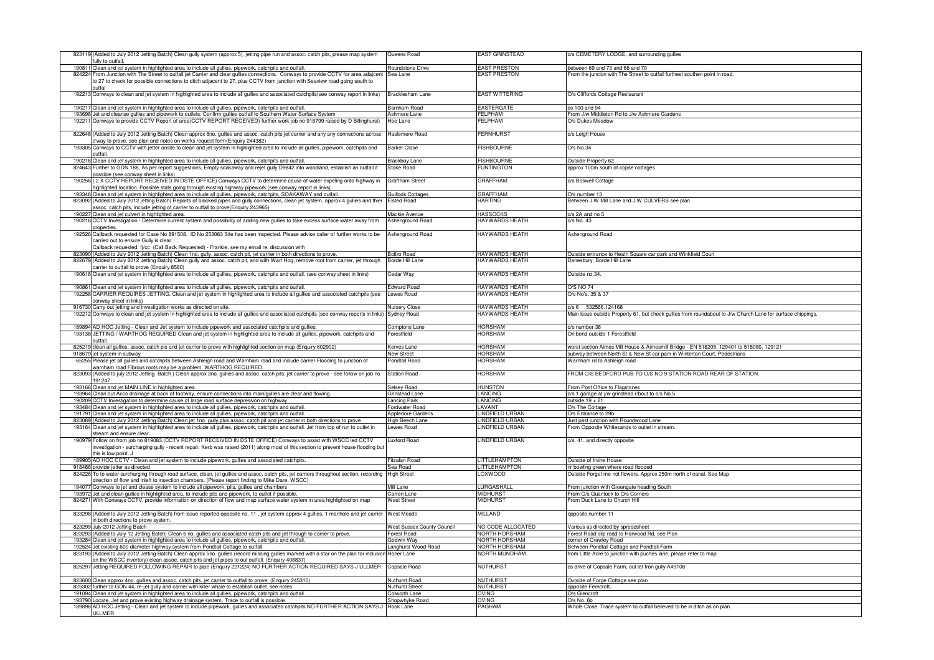|          | 823119 (Added to July 2012 Jetting Batch) Clean gully system (approx 5), jetting pipe run and assoc. catch pits, please map system                                                                                                                                  | Queens Road                | EAST GRINSTEAD        | o/s CEMETERY LODGE, and surrounding gullies                                                                 |
|----------|---------------------------------------------------------------------------------------------------------------------------------------------------------------------------------------------------------------------------------------------------------------------|----------------------------|-----------------------|-------------------------------------------------------------------------------------------------------------|
| 190811   | ully to outfall<br>Clean and jet system in highlighted area to include all gullies, pipework, catchpits and outfa                                                                                                                                                   | oundstone Drive            | <b>EAST PRESTON</b>   | between 69 and 73 and 66 and 70                                                                             |
|          | 824224 From Junction with The Street to outfall jet Carrier and clear gullies connections. Conways to provide CCTV for area adajcent<br>to 27 to check for possible connections to ditch adjacent to 27, plus CCTV from junction with Seaview road going south to   | Sea Lane                   | <b>EAST PRESTON</b>   | From the juncion with The Street to outfall furthest southen point in road.                                 |
|          | 192213 Conways to clean and jet system in highlighted area to include all gullies and associated catchpits(see conway report in links)                                                                                                                              | <b>Bracklesham Lane</b>    | <b>EAST WITTERING</b> | O/s Cliffords Cottage Restaurant                                                                            |
| 190217   | Clean and jet system in highlighted area to include all gullies, pipework, catchpits and outfall.                                                                                                                                                                   | Barnham Road               | <b>EASTERGATE</b>     | os 100 and 94                                                                                               |
| 193698   | Jet and cleanse gullies and pipework to outlets. Confirm gullies outfall to Southern Water Surface System                                                                                                                                                           | Ashmere Lane               | FFI PHAM              | From J/w Middleton Rd to J/w Ashmere Gardens                                                                |
|          | Conways to provide CCTV Report of area(CCTV REPORT RECEIVED) further work job no 918799 raised by D Billinghurst)                                                                                                                                                   | Hoe Lane                   | ELPHAM                | O/s Dukes Meadow                                                                                            |
|          | 822648 (Added to July 2012 Jetting Batch) Clean approx 8no. gullies and assoc. catch pits jet carrier and any any connections across                                                                                                                                | laslemere Road             | <b>FERNHURST</b>      | o/s Leigh House                                                                                             |
|          | way to prove. see plan and notes on works request form(Enquiry 244382)                                                                                                                                                                                              |                            |                       |                                                                                                             |
| 193305   | Conways to CCTV with jetter onsite to clean and jet system in highlighted area to include all gullies, pipework, catchpits and<br><b>utfall</b>                                                                                                                     | <b>Barker Close</b>        | <b>FISHBOURNE</b>     | O/s No.34                                                                                                   |
|          | 190218 Clean and jet system in highlighted area to include all gullies, pipework, catchpits and outfall.                                                                                                                                                            | <b>Blackbov Lane</b>       | <b>FISHBOURNE</b>     | Outside Property 62                                                                                         |
|          | 824643 Further to GDN 188, As per report suggestions, Empty soakaway and rejet gully D9842 into woodland, establish an outfall if<br>possible (see conway sheet in links)                                                                                           | Stoke Road                 | FUNTINGTON            | approx 100m south of copse cottages                                                                         |
|          | 190256 (2 X CCTV REPORT RECEIVED IN DSTE OFFICE) Conways CCTV to determine cause of water expeling onto highway in<br>iighlighted location. Possible stats going through existing highway pipework.(see conway report in links                                      | Graffham Street            | <b>GRAFFHAM</b>       | o/s Boswell Cottage                                                                                         |
|          | 193346 Clean and jet system in highlighted area to include all gullies, pipework, catchpits, SOAKAWAY and outfall                                                                                                                                                   | Guillods Cottages          | <b>GRAFFHAM</b>       | O/s number 13                                                                                               |
| 823092   | Added to July 2012 jetting Batch) Reports of blocked pipes and gully connections, clean jet system, approx 4 gullies and thier                                                                                                                                      | Elsted Road                | <b>HARTING</b>        | Between J.W Mill Lane and J.W CULVERS see plan                                                              |
| 190227   | ssoc. catch pits, include jetting of carrier to outfall to prove(Enquiry 243965)                                                                                                                                                                                    | Mackie Avenue              | <b>HASSOCKS</b>       | o/s 2A and no 5                                                                                             |
|          | Clean and jet culvert in highlighted area.<br>190216 CCTV Investigation - Determine current system and possibility of adding new gullies to take excess surface water away from                                                                                     | Ashenground Road           | HAYWARDS HEATH        | o/s No. 43                                                                                                  |
|          | properties.<br>192526 Callback requested for Case No 891508. ID No 253083 Site has been inspected. Please advise caller of further works to be                                                                                                                      | Ashenground Road           | HAYWARDS HEATH        | Ashenground Road                                                                                            |
|          | carried out to ensure Gully is clear<br>Callback requested. fj/cc (Call Back Requested) - Frankie, see my email re. discussion with                                                                                                                                 |                            |                       |                                                                                                             |
|          | 823090 (Added to July 2012 Jetting Batch) Clean 1no. gully, assoc. catch pit, jet carrier in both directions to prove.                                                                                                                                              | <b>Boltro Road</b>         | <b>HAYWARDS HEATH</b> | Outside entrance to Heath Square car park and Winkfield Court                                               |
|          | 822679 (Added to July 2012 Jetting Batch) Clean gully and assoc. catch pit, and with Wart Hog, remove root from carrier, jet through                                                                                                                                | Borde Hill Lane            | <b>HAYWARDS HEATH</b> | Janesbury, Borde Hill Lane                                                                                  |
|          | arrier to outfall to prove (Enguiry 8580)<br>190616 Clean and jet system in highlighted area to include all gullies, pipework, catchpits and outfall. (see conway sheet in links)                                                                                   | Cedar Way                  | <b>HAYWARDS HEATH</b> | Outside no.34.                                                                                              |
|          |                                                                                                                                                                                                                                                                     |                            |                       |                                                                                                             |
| 190861   | Clean and jet system in highlighted area to include all gullies, pipework, catchpits and outfal                                                                                                                                                                     | Edward Road                | HAYWARDS HEATH        | 0/S NO 74                                                                                                   |
|          | 192258 CARRIER REQUIRES JETTING. Clean and jet system in highlighted area to include all gullies and associated catchpits (see<br>onway sheet in links)                                                                                                             | ewes Road                  | <b>HAYWARDS HEATH</b> | O/s No's. 35 & 37                                                                                           |
|          | 916730 Carry out jetting and investigation works as directed on site.                                                                                                                                                                                               | Nursery Close              | <b>HAYWARDS HEATH</b> | o/s 6 532566,124166                                                                                         |
|          | 192212 Conways to clean and jet system in highlighted area to include all gullies and associated catchpits (see conway reports in links)                                                                                                                            | Sydney Road                | <b>HAYWARDS HEATH</b> | Main Issue outside Property 61, but check gullies from roundabout to J/w Church Lane for surface chippings. |
| 189894   | 4 AD HOC Jetting - Clean and Jet system to include pipework and associated catchpits and gullies                                                                                                                                                                    | Comptons Lane              | <b>HORSHAM</b>        | o/s number 38                                                                                               |
|          | 193138 JETTING / WARTHOG REQUIRED Clean and jet system in highlighted area to include all gullies, pipework, catchpits and                                                                                                                                          | Forestfield                | HORSHAM               | On bend outside 1 Forestfield                                                                               |
|          | utfall                                                                                                                                                                                                                                                              |                            |                       |                                                                                                             |
|          | 825219 clean all gullies, assoc. catch pis and jet carrier to prove with highlighted section on map (Enquiry 602902)                                                                                                                                                | Kerves Lane                | <b>HORSHAM</b>        | worst section Aimes Mill House & Aimesmill Bridge - EN 518205, 129401 to 518080, 129121                     |
| 918679   | et system in subway                                                                                                                                                                                                                                                 | New Street                 | <b>HORSHAM</b>        | subway between North St & New St car park in Winterton Court, Pedestrians                                   |
| 6525     | Please jet all gullies and catchpits between Ashleigh road and Warnham road and include carrier.Flooding to junction of<br>varnham road Fibrous roots may be a problem. WARTHOG REQUIRED.                                                                           | Pondtail Road              | HORSHAM               | Warnham rd to Ashleigh road                                                                                 |
|          | 823093 (Added to july 2012 Jetting Batch) Clean approx 3no. gullies and assoc. catch pits, jet carrier to prove - see follow on job no<br>91247                                                                                                                     | <b>Station Road</b>        | <b>HORSHAM</b>        | FROM O/S BEDFORD PUB TO O/S NO 9 STATION ROAD REAR OF STATION.                                              |
| 193166   | Clean and jet MAIN LINE in highlighted area.                                                                                                                                                                                                                        | Selsey Road                | <b>HUNSTON</b>        | From Post Office to Flagstones                                                                              |
| 193964   | Clean out Acco drainage at back of footway, ensure connections into main/gullies are clear and flowing.                                                                                                                                                             | Grinstead Lane             | <b>LANCING</b>        | o/s 1 garage at j/w grinstead r/bout to o/s No.5                                                            |
| 190209   | CCTV Investigation to determine cause of large road surface depression on highway.                                                                                                                                                                                  | ancing Park                | LANCING               | outside $19 + 21$                                                                                           |
| 193484   | lean and jet system in highlighted area to include all gullies, pipework, catchpits and outfal                                                                                                                                                                      | Fordwater Road             | LAVANT                | O/s The Cottage                                                                                             |
| 191791   | Clean and jet system in highlighted area to include all gullies, pipework, catchpits and outfall.                                                                                                                                                                   | <b>Appledore Gardens</b>   | LINDFIELD URBAN       | O/s Entrance to 29b                                                                                         |
| 823089   | Added to July 2012 Jetting Batch) Clean jet 1no. gully,plus assoc. catch pit and jet carrier in both directions to prove                                                                                                                                            | High Beech Lane            | <b>INDFIELD URBAN</b> | lust past junction with Roundwood Lane                                                                      |
| 193164   | Clean and jet system in highlighted area to include all gullies, pipework, catchpits and outfall. Jet from top of run to outlet in<br>tream and ensure clear.                                                                                                       | ewes Road                  | INDFIELD URBAN        | From Opposite Whitesands to outlet in stream.                                                               |
| 190979 F | Follow on from job no 819083.(CCTV REPORT RECEIVED IN DSTE OFFICE) Conways to assist with WSCC led CCTV<br>nvestigation - surcharging gully - recent repair. Kerb was raised (2011) along most of this section to prevent house flooding but<br>his is low point. J | uxford Road                | LINDFIELD URBAN       | o/s. 41. and directly opposite                                                                              |
|          | 189905 AD HOC CCTV - Clean and jet system to include pipework, gullies and associated catchpits.                                                                                                                                                                    | Fitzalan Road              | <b>LITTLEHAMPTON</b>  | Outside of Irvine House                                                                                     |
|          | 918486 provide jetter as directed                                                                                                                                                                                                                                   | Sea Road                   | <b>LITTLEHAMPTON</b>  | nr bowling green where road flooded                                                                         |
| 824226   | To to water surcharging through road surface, clean, jet gullies and assoc. catch pits, jet carriers throughout section, recording                                                                                                                                  | <b>High Street</b>         | LOXWOOD               | Outside Forget me not flowers. Approx 250m north of canal. See Map                                          |
| 194077   | lirection of flow and inleft to insection chambers. (Please report finding to Mike Dare, WSCC)<br>Conways to jet and clease system to include all pipework, pits, gullies and chambers                                                                              | Mill I ane                 | <b>I URGASHAL</b>     | From junction with Greengate heading South                                                                  |
| 193972   | let and clean gullies in highlighted area, to include pits and pipework, to outlet if possible                                                                                                                                                                      | Carron Lane                | <b>MIDHURST</b>       | From O/s Quantock to O/s Corners                                                                            |
| 824271   | With Conways CCTV, provide information on direction of flow and map surface water system in area highlighted on map                                                                                                                                                 | <b>West Street</b>         | <b>MIDHURST</b>       | From Duck Lane to Church Hill                                                                               |
|          | 823298 (Added to July 2012 Jetting Batch) from issue reported opposite no. 11, jet system approx 4 gullies, 1 manhole and jet carrier West Meade<br>n both directions to prove system.                                                                              |                            | <b>MILLAND</b>        | opposite number 11                                                                                          |
|          | 823299 July 2012 Jetting Batch                                                                                                                                                                                                                                      | West Sussex County Council | NO CODE ALLOCATED     | Various as directed by spreadsheet                                                                          |
| 823293   | (Added to July 12 Jetting Batch) Clean 6 no. gullies and associated catch pits and jet through to carrier to prove.                                                                                                                                                 | orest Road                 | NORTH HORSHAM         | Forest Road slip road to Harwood Rd, see Plan                                                               |
| 193284   | Clean and jet system in highlighted area to include all gullies, pipework, catchpits and outfall.                                                                                                                                                                   | Godwin Wav                 | NORTH HORSHAM         | corner of Crawley Road                                                                                      |
|          | 192524 Jet existing 600 diameter highway system from Pondtail Cottage to outfall                                                                                                                                                                                    | anghurst Wood Road         | NORTH HORSHAM         | Between Pondtail Cottage and Pondtail Farm                                                                  |
|          | 823193 (Added to July 2012 Jetting Batch) Clean approx 5no. gullies (record missing gullies marked with a star on the plan for inclusion Honer Lane<br>on the WSCC invertory) clean assoc. catch pits and jet pipes to out outfall. (Enquiry 408837)                |                            | NORTH MUNDHAM         | from Little Acre to junction with puches lane, please refer to map                                          |
|          | 825297 Jetting REQUIRED FOLLOWING REPAIR to pipe (Enquiry 221224) NO FURTHER ACTION REQUIRED SAYS J ULLMER                                                                                                                                                          | Copsale Road               | <b>NUTHURST</b>       | os drive of Copsale Farm, out let fron gully A49106                                                         |
|          | 823600 Clean approx 4no. gullies and assoc. catch pits, jet carrier to outfall to prove. (Enquiry 245310)                                                                                                                                                           | Nuthurst Road              | NUTHURST              | Outside of Forge Cottage see plan                                                                           |
| 825302   | urther to GDN 44, re-jet gully and carrier with killer whale to establish outlet. see notes                                                                                                                                                                         | <b>Juthurst Street</b>     | <b>UTHURST</b>        | opposite Ferncroft.                                                                                         |
| 191094   | Clean and jet system in highlighted area to include all gullies, pipework, catchpits and outfall.                                                                                                                                                                   | olworth Lane               | <b>OVING</b>          | O/s Glencroft                                                                                               |
|          | 193790 Locate, Jet and prove existing highway drainage system. Trace to outfall is possible.                                                                                                                                                                        | Shopwhyke Road             | <b>OVING</b>          | $O/s$ No. $6b$                                                                                              |
|          | 189896 AD HOC Jetting - Clean and jet system to include pipework, gullies and associated catchpits. NO FURTHER ACTION SAYS J<br><b>ULLMER</b>                                                                                                                       | Hook Lane                  | PAGHAM                | Whole Close. Trace system to outfall believed to be in ditch as on plan.                                    |